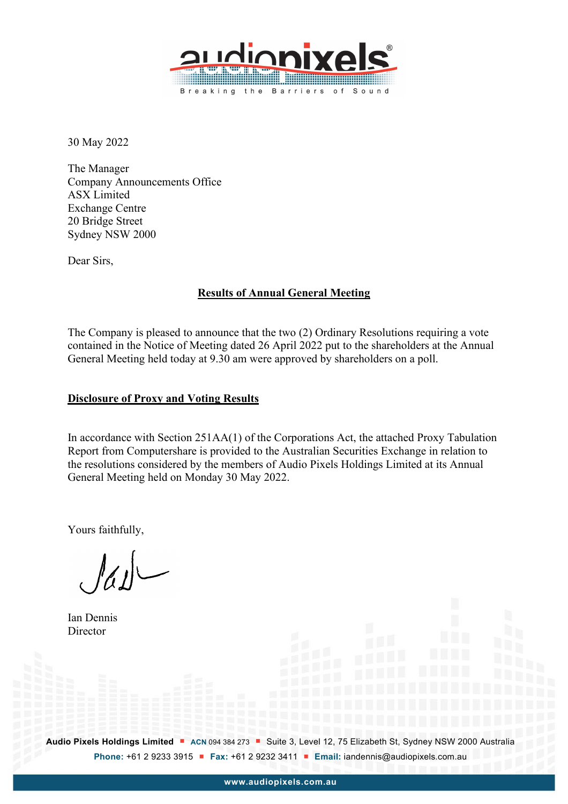

30 May 2022

The Manager Company Announcements Office ASX Limited Exchange Centre 20 Bridge Street Sydney NSW 2000

Dear Sirs,

## **Results of Annual General Meeting**

The Company is pleased to announce that the two (2) Ordinary Resolutions requiring a vote contained in the Notice of Meeting dated 26 April 2022 put to the shareholders at the Annual General Meeting held today at 9.30 am were approved by shareholders on a poll.

## **Disclosure of Proxy and Voting Results**

In accordance with Section 251AA(1) of the Corporations Act, the attached Proxy Tabulation Report from Computershare is provided to the Australian Securities Exchange in relation to the resolutions considered by the members of Audio Pixels Holdings Limited at its Annual General Meeting held on Monday 30 May 2022.

Yours faithfully,

 $|a|$ 

Ian Dennis **Director** 

Audio Pixels Holdings Limited **•** ACN 094 384 273 **•** Suite 3, Level 12, 75 Elizabeth St, Sydney NSW 2000 Australia **Phone:** +61 2 9233 3915 **Fax:** +61 2 9232 3411 **Email:** iandennis@audiopixels.com.au